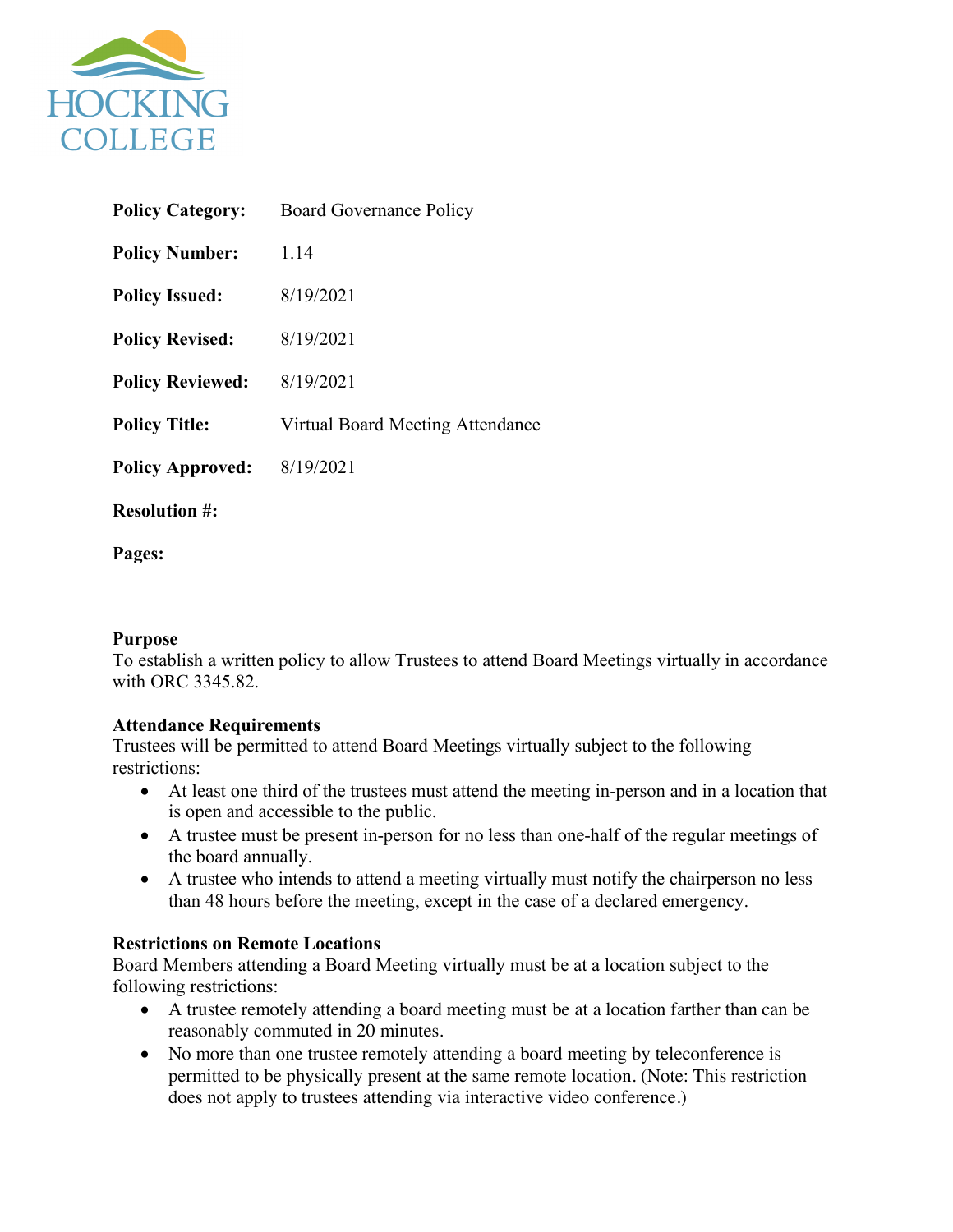

| <b>Policy Category:</b> | <b>Board Governance Policy</b>   |
|-------------------------|----------------------------------|
| <b>Policy Number:</b>   | 1.14                             |
| <b>Policy Issued:</b>   | 8/19/2021                        |
| <b>Policy Revised:</b>  | 8/19/2021                        |
| <b>Policy Reviewed:</b> | 8/19/2021                        |
| <b>Policy Title:</b>    | Virtual Board Meeting Attendance |
| <b>Policy Approved:</b> | 8/19/2021                        |
| <b>Resolution #:</b>    |                                  |

**Pages:** 

# **Purpose**

To establish a written policy to allow Trustees to attend Board Meetings virtually in accordance with ORC 3345.82

# **Attendance Requirements**

Trustees will be permitted to attend Board Meetings virtually subject to the following restrictions:

- At least one third of the trustees must attend the meeting in-person and in a location that is open and accessible to the public.
- A trustee must be present in-person for no less than one-half of the regular meetings of the board annually.
- A trustee who intends to attend a meeting virtually must notify the chairperson no less than 48 hours before the meeting, except in the case of a declared emergency.

# **Restrictions on Remote Locations**

Board Members attending a Board Meeting virtually must be at a location subject to the following restrictions:

- A trustee remotely attending a board meeting must be at a location farther than can be reasonably commuted in 20 minutes.
- No more than one trustee remotely attending a board meeting by teleconference is permitted to be physically present at the same remote location. (Note: This restriction does not apply to trustees attending via interactive video conference.)